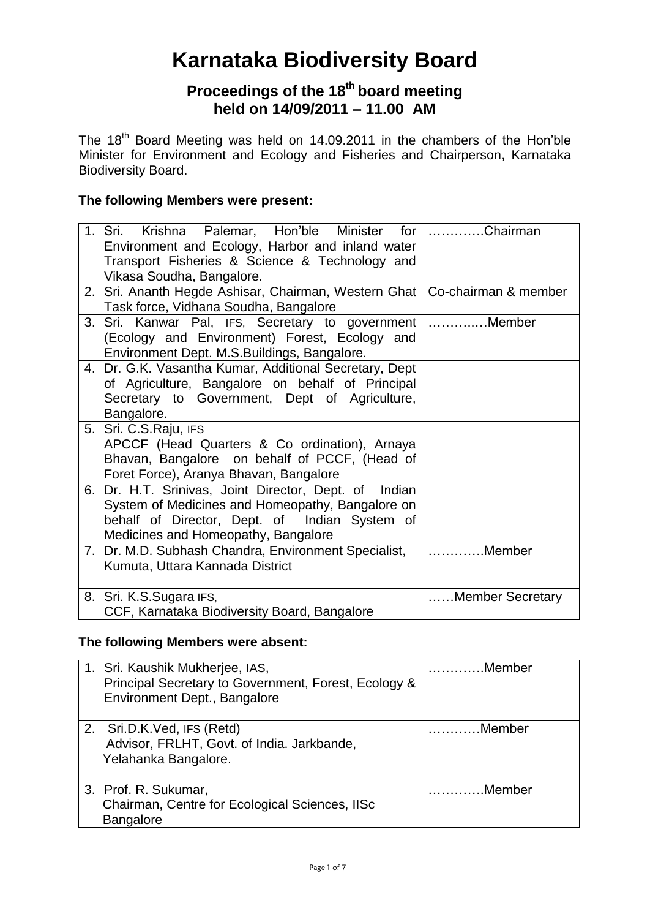# **Karnataka Biodiversity Board**

# **Proceedings of the 18 th board meeting held on 14/09/2011 – 11.00 AM**

The 18<sup>th</sup> Board Meeting was held on 14.09.2011 in the chambers of the Hon'ble Minister for Environment and Ecology and Fisheries and Chairperson, Karnataka Biodiversity Board.

## **The following Members were present:**

| 1. Sri. Krishna Palemar, Hon'ble Minister for<br>Environment and Ecology, Harbor and inland water<br>Transport Fisheries & Science & Technology and | Chairman         |
|-----------------------------------------------------------------------------------------------------------------------------------------------------|------------------|
| Vikasa Soudha, Bangalore.                                                                                                                           |                  |
| 2. Sri. Ananth Hegde Ashisar, Chairman, Western Ghat   Co-chairman & member                                                                         |                  |
| Task force, Vidhana Soudha, Bangalore                                                                                                               |                  |
| 3. Sri. Kanwar Pal, IFS, Secretary to government                                                                                                    | Member           |
| (Ecology and Environment) Forest, Ecology and                                                                                                       |                  |
| Environment Dept. M.S.Buildings, Bangalore.                                                                                                         |                  |
| 4. Dr. G.K. Vasantha Kumar, Additional Secretary, Dept                                                                                              |                  |
| of Agriculture, Bangalore on behalf of Principal                                                                                                    |                  |
| Secretary to Government, Dept of Agriculture,                                                                                                       |                  |
| Bangalore.                                                                                                                                          |                  |
| 5. Sri. C.S. Raju, IFS                                                                                                                              |                  |
| APCCF (Head Quarters & Co ordination), Arnaya                                                                                                       |                  |
| Bhavan, Bangalore on behalf of PCCF, (Head of                                                                                                       |                  |
| Foret Force), Aranya Bhavan, Bangalore                                                                                                              |                  |
| 6. Dr. H.T. Srinivas, Joint Director, Dept. of Indian                                                                                               |                  |
| System of Medicines and Homeopathy, Bangalore on                                                                                                    |                  |
| behalf of Director, Dept. of Indian System of                                                                                                       |                  |
| Medicines and Homeopathy, Bangalore                                                                                                                 |                  |
| 7. Dr. M.D. Subhash Chandra, Environment Specialist,                                                                                                | Member           |
| Kumuta, Uttara Kannada District                                                                                                                     |                  |
|                                                                                                                                                     |                  |
| 8. Sri. K.S.Sugara IFS,                                                                                                                             | Member Secretary |
| CCF, Karnataka Biodiversity Board, Bangalore                                                                                                        |                  |

## **The following Members were absent:**

| 1. Sri. Kaushik Mukherjee, IAS,<br>Principal Secretary to Government, Forest, Ecology &<br>Environment Dept., Bangalore | Member |
|-------------------------------------------------------------------------------------------------------------------------|--------|
| 2. Sri.D.K.Ved, IFS (Retd)<br>Advisor, FRLHT, Govt. of India. Jarkbande,<br>Yelahanka Bangalore.                        | Member |
| 3. Prof. R. Sukumar,<br>Chairman, Centre for Ecological Sciences, IISc<br><b>Bangalore</b>                              | Member |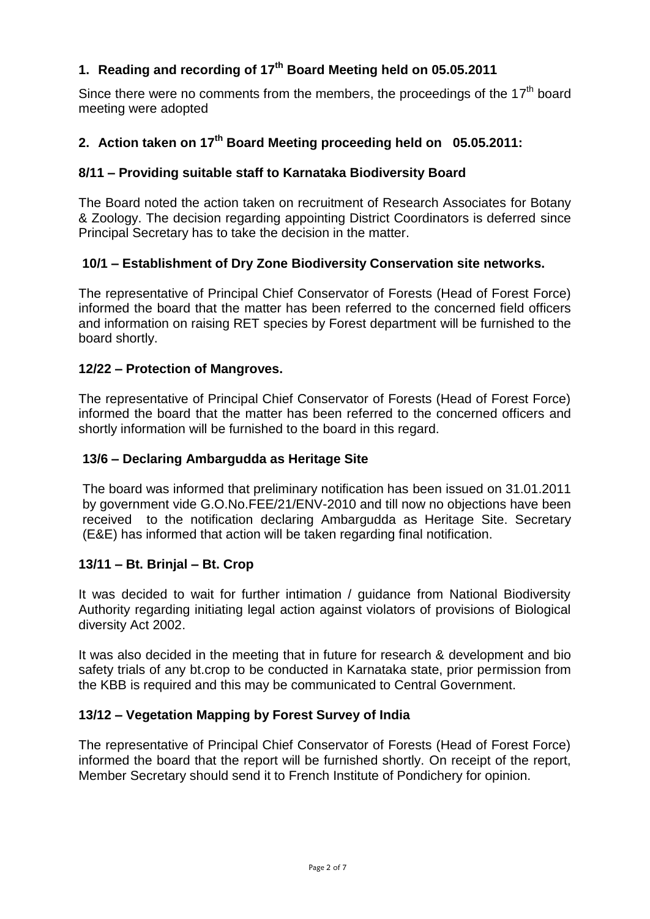# **1. Reading and recording of 17 th Board Meeting held on 05.05.2011**

Since there were no comments from the members, the proceedings of the  $17<sup>th</sup>$  board meeting were adopted

## **2. Action taken on 17 th Board Meeting proceeding held on 05.05.2011:**

## **8/11 – Providing suitable staff to Karnataka Biodiversity Board**

The Board noted the action taken on recruitment of Research Associates for Botany & Zoology. The decision regarding appointing District Coordinators is deferred since Principal Secretary has to take the decision in the matter.

## **10/1 – Establishment of Dry Zone Biodiversity Conservation site networks.**

The representative of Principal Chief Conservator of Forests (Head of Forest Force) informed the board that the matter has been referred to the concerned field officers and information on raising RET species by Forest department will be furnished to the board shortly.

## **12/22 – Protection of Mangroves.**

The representative of Principal Chief Conservator of Forests (Head of Forest Force) informed the board that the matter has been referred to the concerned officers and shortly information will be furnished to the board in this regard.

## **13/6 – Declaring Ambargudda as Heritage Site**

The board was informed that preliminary notification has been issued on 31.01.2011 by government vide G.O.No.FEE/21/ENV-2010 and till now no objections have been received to the notification declaring Ambargudda as Heritage Site. Secretary (E&E) has informed that action will be taken regarding final notification.

## **13/11 – Bt. Brinjal – Bt. Crop**

It was decided to wait for further intimation / guidance from National Biodiversity Authority regarding initiating legal action against violators of provisions of Biological diversity Act 2002.

It was also decided in the meeting that in future for research & development and bio safety trials of any bt.crop to be conducted in Karnataka state, prior permission from the KBB is required and this may be communicated to Central Government.

## **13/12 – Vegetation Mapping by Forest Survey of India**

The representative of Principal Chief Conservator of Forests (Head of Forest Force) informed the board that the report will be furnished shortly. On receipt of the report, Member Secretary should send it to French Institute of Pondichery for opinion.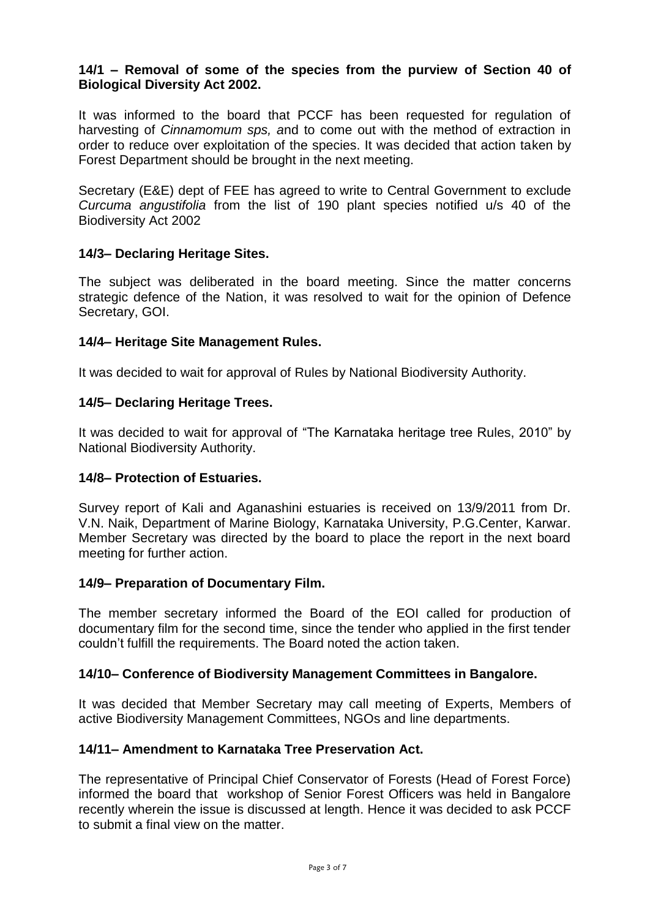## **14/1 – Removal of some of the species from the purview of Section 40 of Biological Diversity Act 2002.**

It was informed to the board that PCCF has been requested for regulation of harvesting of *Cinnamomum sps, a*nd to come out with the method of extraction in order to reduce over exploitation of the species. It was decided that action taken by Forest Department should be brought in the next meeting.

Secretary (E&E) dept of FEE has agreed to write to Central Government to exclude *Curcuma angustifolia* from the list of 190 plant species notified u/s 40 of the Biodiversity Act 2002

## **14/3– Declaring Heritage Sites.**

The subject was deliberated in the board meeting. Since the matter concerns strategic defence of the Nation, it was resolved to wait for the opinion of Defence Secretary, GOI.

#### **14/4– Heritage Site Management Rules.**

It was decided to wait for approval of Rules by National Biodiversity Authority.

#### **14/5– Declaring Heritage Trees.**

It was decided to wait for approval of "The Karnataka heritage tree Rules, 2010" by National Biodiversity Authority.

## **14/8– Protection of Estuaries.**

Survey report of Kali and Aganashini estuaries is received on 13/9/2011 from Dr. V.N. Naik, Department of Marine Biology, Karnataka University, P.G.Center, Karwar. Member Secretary was directed by the board to place the report in the next board meeting for further action.

#### **14/9– Preparation of Documentary Film.**

The member secretary informed the Board of the EOI called for production of documentary film for the second time, since the tender who applied in the first tender couldn't fulfill the requirements. The Board noted the action taken.

## **14/10– Conference of Biodiversity Management Committees in Bangalore.**

It was decided that Member Secretary may call meeting of Experts, Members of active Biodiversity Management Committees, NGOs and line departments.

## **14/11– Amendment to Karnataka Tree Preservation Act.**

The representative of Principal Chief Conservator of Forests (Head of Forest Force) informed the board that workshop of Senior Forest Officers was held in Bangalore recently wherein the issue is discussed at length. Hence it was decided to ask PCCF to submit a final view on the matter.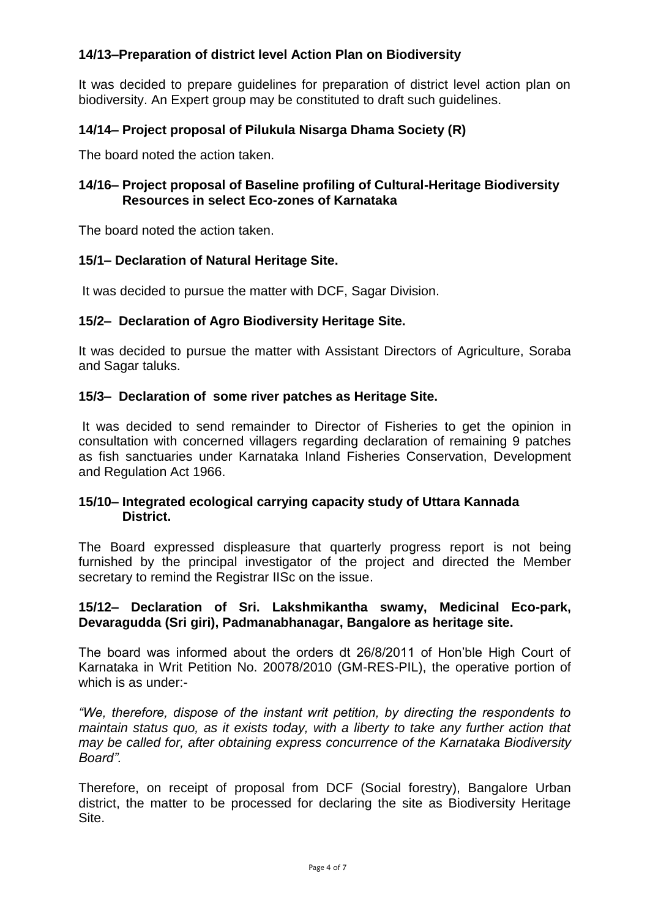## **14/13–Preparation of district level Action Plan on Biodiversity**

It was decided to prepare guidelines for preparation of district level action plan on biodiversity. An Expert group may be constituted to draft such guidelines.

## **14/14– Project proposal of Pilukula Nisarga Dhama Society (R)**

The board noted the action taken.

## **14/16– Project proposal of Baseline profiling of Cultural-Heritage Biodiversity Resources in select Eco-zones of Karnataka**

The board noted the action taken.

## **15/1– Declaration of Natural Heritage Site.**

It was decided to pursue the matter with DCF, Sagar Division.

## **15/2– Declaration of Agro Biodiversity Heritage Site.**

It was decided to pursue the matter with Assistant Directors of Agriculture, Soraba and Sagar taluks.

## **15/3– Declaration of some river patches as Heritage Site.**

It was decided to send remainder to Director of Fisheries to get the opinion in consultation with concerned villagers regarding declaration of remaining 9 patches as fish sanctuaries under Karnataka Inland Fisheries Conservation, Development and Regulation Act 1966.

## **15/10– Integrated ecological carrying capacity study of Uttara Kannada District.**

The Board expressed displeasure that quarterly progress report is not being furnished by the principal investigator of the project and directed the Member secretary to remind the Registrar IISc on the issue.

## **15/12– Declaration of Sri. Lakshmikantha swamy, Medicinal Eco-park, Devaragudda (Sri giri), Padmanabhanagar, Bangalore as heritage site.**

The board was informed about the orders dt 26/8/2011 of Hon'ble High Court of Karnataka in Writ Petition No. 20078/2010 (GM-RES-PIL), the operative portion of which is as under:-

*"We, therefore, dispose of the instant writ petition, by directing the respondents to maintain status quo, as it exists today, with a liberty to take any further action that may be called for, after obtaining express concurrence of the Karnataka Biodiversity Board".*

Therefore, on receipt of proposal from DCF (Social forestry), Bangalore Urban district, the matter to be processed for declaring the site as Biodiversity Heritage Site.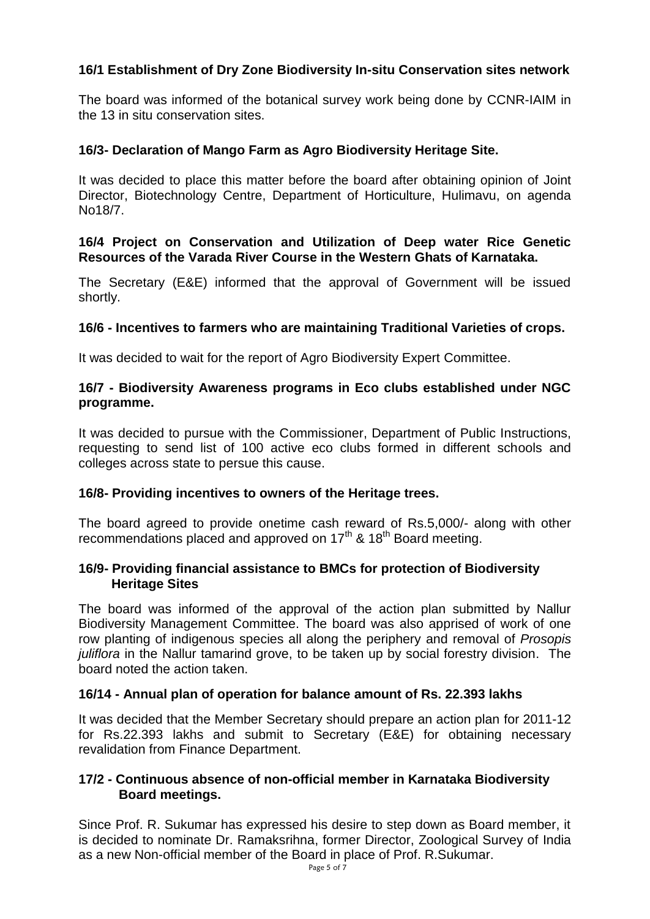## **16/1 Establishment of Dry Zone Biodiversity In-situ Conservation sites network**

The board was informed of the botanical survey work being done by CCNR-IAIM in the 13 in situ conservation sites.

## **16/3- Declaration of Mango Farm as Agro Biodiversity Heritage Site.**

It was decided to place this matter before the board after obtaining opinion of Joint Director, Biotechnology Centre, Department of Horticulture, Hulimavu, on agenda No18/7.

## **16/4 Project on Conservation and Utilization of Deep water Rice Genetic Resources of the Varada River Course in the Western Ghats of Karnataka.**

The Secretary (E&E) informed that the approval of Government will be issued shortly.

## **16/6 - Incentives to farmers who are maintaining Traditional Varieties of crops.**

It was decided to wait for the report of Agro Biodiversity Expert Committee.

## **16/7 - Biodiversity Awareness programs in Eco clubs established under NGC programme.**

It was decided to pursue with the Commissioner, Department of Public Instructions, requesting to send list of 100 active eco clubs formed in different schools and colleges across state to persue this cause.

## **16/8- Providing incentives to owners of the Heritage trees.**

The board agreed to provide onetime cash reward of Rs.5,000/- along with other recommendations placed and approved on  $17<sup>th</sup>$  &  $18<sup>th</sup>$  Board meeting.

## **16/9- Providing financial assistance to BMCs for protection of Biodiversity Heritage Sites**

The board was informed of the approval of the action plan submitted by Nallur Biodiversity Management Committee. The board was also apprised of work of one row planting of indigenous species all along the periphery and removal of *Prosopis juliflora* in the Nallur tamarind grove, to be taken up by social forestry division. The board noted the action taken.

## **16/14 - Annual plan of operation for balance amount of Rs. 22.393 lakhs**

It was decided that the Member Secretary should prepare an action plan for 2011-12 for Rs.22.393 lakhs and submit to Secretary (E&E) for obtaining necessary revalidation from Finance Department.

## **17/2 - Continuous absence of non-official member in Karnataka Biodiversity Board meetings.**

Since Prof. R. Sukumar has expressed his desire to step down as Board member, it is decided to nominate Dr. Ramaksrihna, former Director, Zoological Survey of India as a new Non-official member of the Board in place of Prof. R.Sukumar.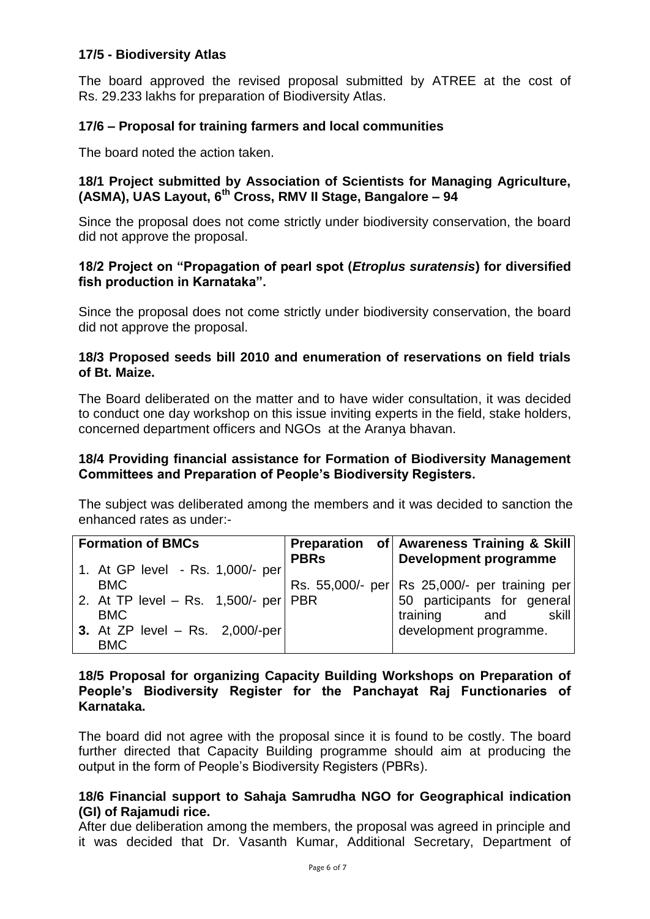## **17/5 - Biodiversity Atlas**

The board approved the revised proposal submitted by ATREE at the cost of Rs. 29.233 lakhs for preparation of Biodiversity Atlas.

## **17/6 – Proposal for training farmers and local communities**

The board noted the action taken.

## **18/1 Project submitted by Association of Scientists for Managing Agriculture, (ASMA), UAS Layout, 6th Cross, RMV II Stage, Bangalore – 94**

Since the proposal does not come strictly under biodiversity conservation, the board did not approve the proposal.

#### **18/2 Project on "Propagation of pearl spot (***Etroplus suratensis***) for diversified fish production in Karnataka".**

Since the proposal does not come strictly under biodiversity conservation, the board did not approve the proposal.

## **18/3 Proposed seeds bill 2010 and enumeration of reservations on field trials of Bt. Maize.**

The Board deliberated on the matter and to have wider consultation, it was decided to conduct one day workshop on this issue inviting experts in the field, stake holders, concerned department officers and NGOs at the Aranya bhavan.

#### **18/4 Providing financial assistance for Formation of Biodiversity Management Committees and Preparation of People's Biodiversity Registers.**

The subject was deliberated among the members and it was decided to sanction the enhanced rates as under:-

| <b>Formation of BMCs</b>               |             | Preparation of Awareness Training & Skill     |
|----------------------------------------|-------------|-----------------------------------------------|
| 1. At GP level - Rs. 1,000/- per       | <b>PBRs</b> | <b>Development programme</b>                  |
| <b>BMC</b>                             |             | Rs. 55,000/- per Rs 25,000/- per training per |
| 2. At TP level - Rs. 1,500/- per   PBR |             | 50 participants for general                   |
| <b>BMC</b>                             |             | training<br>skill<br>and                      |
| 3. At ZP level $-$ Rs. 2,000/-per      |             | development programme.                        |
| <b>BMC</b>                             |             |                                               |

## **18/5 Proposal for organizing Capacity Building Workshops on Preparation of People's Biodiversity Register for the Panchayat Raj Functionaries of Karnataka.**

The board did not agree with the proposal since it is found to be costly. The board further directed that Capacity Building programme should aim at producing the output in the form of People's Biodiversity Registers (PBRs).

## **18/6 Financial support to Sahaja Samrudha NGO for Geographical indication (GI) of Rajamudi rice.**

After due deliberation among the members, the proposal was agreed in principle and it was decided that Dr. Vasanth Kumar, Additional Secretary, Department of